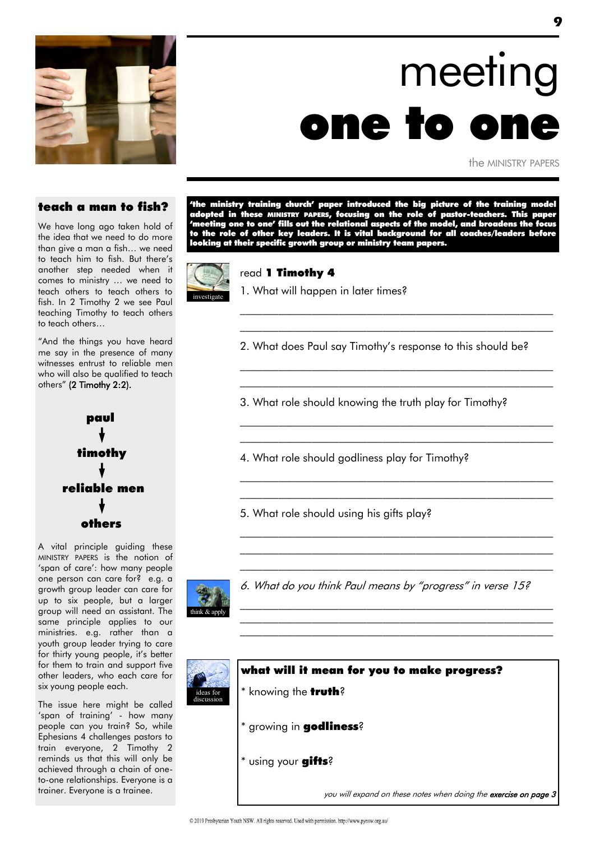

# meeting one to one

the MINISTRY PAPERS

# teach a man to fish?

We have long ago taken hold of the idea that we need to do more than give a man a fish… we need to teach him to fish. But there's another step needed when it comes to ministry … we need to teach others to teach others to fish. In 2 Timothy 2 we see Paul teaching Timothy to teach others to teach others…

"And the things you have heard me say in the presence of many witnesses entrust to reliable men who will also be qualified to teach others" (2 Timothy 2:2).



A vital principle guiding these MINISTRY PAPERS is the notion of 'span of care': how many people one person can care for? e.g. a growth group leader can care for up to six people, but a larger group will need an assistant. The same principle applies to our ministries. e.g. rather than a youth group leader trying to care for thirty young people, it's better for them to train and support five other leaders, who each care for six young people each.

The issue here might be called 'span of training' - how many people can you train? So, while Ephesians 4 challenges pastors to train everyone, 2 Timothy 2 reminds us that this will only be achieved through a chain of oneto-one relationships. Everyone is a trainer. Everyone is a trainee.

'the ministry training church' paper introduced the big picture of the training model adopted in these MINISTRY PAPERS, focusing on the role of pastor-teachers. This paper 'meeting one to one' fills out the relational aspects of the model, and broadens the focus to the role of other key leaders. It is vital background for all coaches/leaders before looking at their specific growth group or ministry team papers.



## read 1 Timothy 4

1. What will happen in later times?

2. What does Paul say Timothy's response to this should be?

\_\_\_\_\_\_\_\_\_\_\_\_\_\_\_\_\_\_\_\_\_\_\_\_\_\_\_\_\_\_\_\_\_\_\_\_\_\_\_\_\_\_\_\_\_\_\_\_\_\_\_\_\_\_\_\_\_ \_\_\_\_\_\_\_\_\_\_\_\_\_\_\_\_\_\_\_\_\_\_\_\_\_\_\_\_\_\_\_\_\_\_\_\_\_\_\_\_\_\_\_\_\_\_\_\_\_\_\_\_\_\_\_\_\_

 $\mathcal{L}_\text{max}$  and the contract of the contract of the contract of the contract of the contract of the contract of  $\mathcal{L}_\text{max}$  and the contract of the contract of the contract of the contract of the contract of the contract of

\_\_\_\_\_\_\_\_\_\_\_\_\_\_\_\_\_\_\_\_\_\_\_\_\_\_\_\_\_\_\_\_\_\_\_\_\_\_\_\_\_\_\_\_\_\_\_\_\_\_\_\_\_\_\_\_\_  $\mathcal{L}_\text{max}$  and the contract of the contract of the contract of the contract of the contract of the contract of

\_\_\_\_\_\_\_\_\_\_\_\_\_\_\_\_\_\_\_\_\_\_\_\_\_\_\_\_\_\_\_\_\_\_\_\_\_\_\_\_\_\_\_\_\_\_\_\_\_\_\_\_\_\_\_\_\_ \_\_\_\_\_\_\_\_\_\_\_\_\_\_\_\_\_\_\_\_\_\_\_\_\_\_\_\_\_\_\_\_\_\_\_\_\_\_\_\_\_\_\_\_\_\_\_\_\_\_\_\_\_\_\_\_\_

 $\mathcal{L}_\text{max}$  and the contract of the contract of the contract of the contract of the contract of the contract of \_\_\_\_\_\_\_\_\_\_\_\_\_\_\_\_\_\_\_\_\_\_\_\_\_\_\_\_\_\_\_\_\_\_\_\_\_\_\_\_\_\_\_\_\_\_\_\_\_\_\_\_\_\_\_\_\_  $\mathcal{L}_\text{max}$  and the contract of the contract of the contract of the contract of the contract of the contract of

\_\_\_\_\_\_\_\_\_\_\_\_\_\_\_\_\_\_\_\_\_\_\_\_\_\_\_\_\_\_\_\_\_\_\_\_\_\_\_\_\_\_\_\_\_\_\_\_\_\_\_\_\_\_\_\_\_  $\mathcal{L}_\text{max}$  and the contract of the contract of the contract of the contract of the contract of the contract of  $\mathcal{L}_\text{max}$  and the contract of the contract of the contract of the contract of the contract of the contract of

- 3. What role should knowing the truth play for Timothy?
- 4. What role should godliness play for Timothy?
- 5. What role should using his gifts play?



6. What do you think Paul means by "progress" in verse 15?

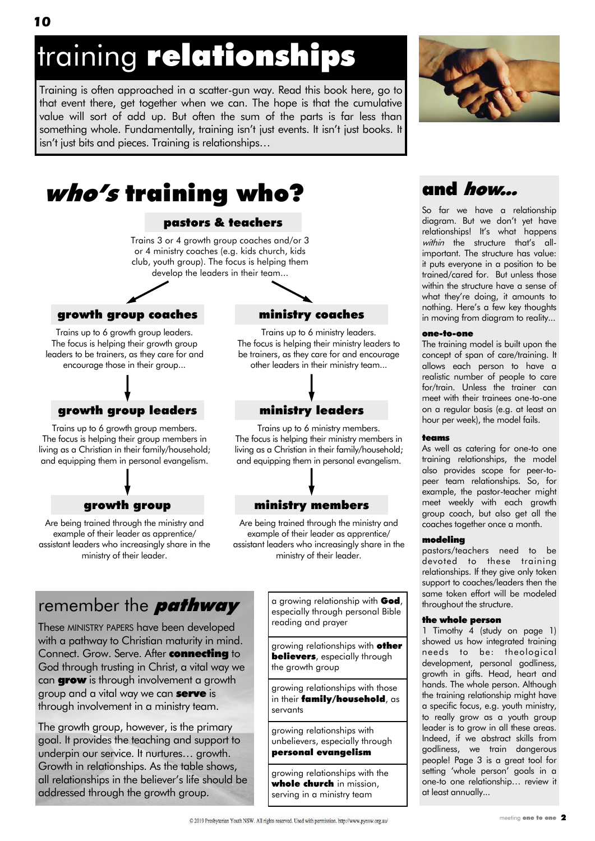# training relationships

Training is often approached in a scatter-gun way. Read this book here, go to that event there, get together when we can. The hope is that the cumulative value will sort of add up. But often the sum of the parts is far less than something whole. Fundamentally, training isn't just events. It isn't just books. It isn't just bits and pieces. Training is relationships…



# who's training who?

# pastors & teachers

Trains 3 or 4 growth group coaches and/or 3 or 4 ministry coaches (e.g. kids church, kids club, youth group). The focus is helping them develop the leaders in their team...

## growth group coaches ministry coaches

Trains up to 6 growth group leaders. The focus is helping their growth group leaders to be trainers, as they care for and encourage those in their group...

# growth group leaders ministry leaders

Trains up to 6 growth group members. The focus is helping their group members in living as a Christian in their family/household; and equipping them in personal evangelism.

# growth group

Are being trained through the ministry and example of their leader as apprentice/ assistant leaders who increasingly share in the ministry of their leader.

Trains up to 6 ministry leaders. The focus is helping their ministry leaders to be trainers, as they care for and encourage other leaders in their ministry team...

Trains up to 6 ministry members. The focus is helping their ministry members in living as a Christian in their family/household; and equipping them in personal evangelism.

# ministry members

Are being trained through the ministry and example of their leader as apprentice/ assistant leaders who increasingly share in the ministry of their leader.

# remember the **pathway**

These MINISTRY PAPERS have been developed with a pathway to Christian maturity in mind. Connect. Grow. Serve. After connecting to God through trusting in Christ, a vital way we can **grow** is through involvement a growth group and a vital way we can serve is through involvement in a ministry team.

The growth group, however, is the primary goal. It provides the teaching and support to underpin our service. It nurtures… growth. Growth in relationships. As the table shows, all relationships in the believer's life should be addressed through the growth group.

a growing relationship with God, especially through personal Bible reading and prayer

growing relationships with **other believers**, especially through the growth group

growing relationships with those in their **family/household**, as servants

growing relationships with unbelievers, especially through personal evangelism

growing relationships with the whole church in mission, serving in a ministry team

# and how...

So far we have a relationship diagram. But we don't yet have relationships! It's what happens within the structure that's allimportant. The structure has value: it puts everyone in a position to be trained/cared for. But unless those within the structure have a sense of what they're doing, it amounts to nothing. Here's a few key thoughts in moving from diagram to reality...

## one-to-one

The training model is built upon the concept of span of care/training. It allows each person to have a realistic number of people to care for/train. Unless the trainer can meet with their trainees one-to-one on a regular basis (e.g. at least an hour per week), the model fails.

### teams

As well as catering for one-to one training relationships, the model also provides scope for peer-topeer team relationships. So, for example, the pastor-teacher might meet weekly with each growth group coach, but also get all the coaches together once a month.

### modeling

pastors/teachers need to be devoted to these training relationships. If they give only token support to coaches/leaders then the same token effort will be modeled throughout the structure.

### the whole person

1 Timothy 4 (study on page 1) showed us how integrated training needs to be: theological development, personal godliness, growth in gifts. Head, heart and hands. The whole person. Although the training relationship might have a specific focus, e.g. youth ministry, to really grow as a youth group leader is to grow in all these areas. Indeed, if we abstract skills from godliness, we train dangerous people! Page 3 is a great tool for setting 'whole person' goals in a one-to one relationship… review it at least annually...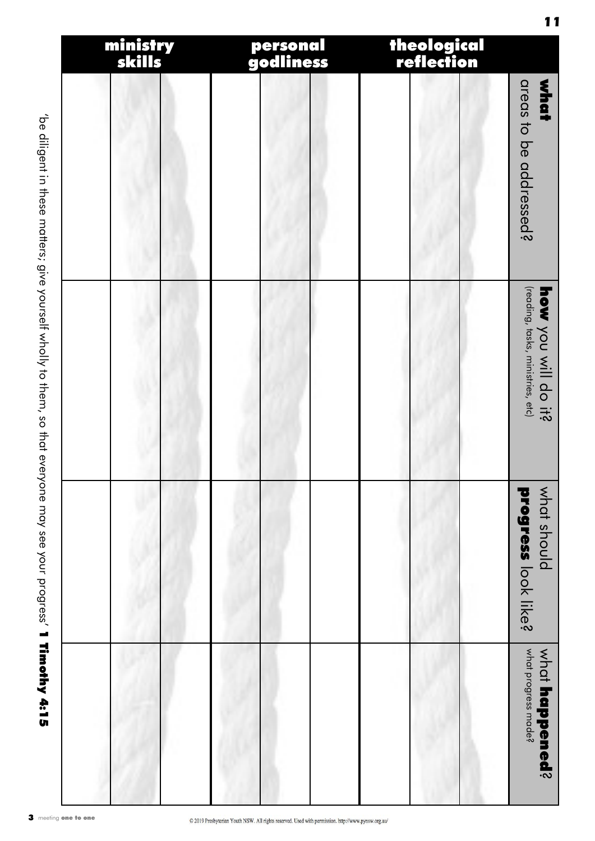| ministry<br>skills |  | personal<br>godliness |  | theological<br>reflection |  |  |  |                                                                 |
|--------------------|--|-----------------------|--|---------------------------|--|--|--|-----------------------------------------------------------------|
|                    |  |                       |  |                           |  |  |  | what<br>areas to be addressed?                                  |
|                    |  |                       |  |                           |  |  |  | <b>how</b> you will do it?<br>(reading, tasks, ministries, etc) |
|                    |  |                       |  |                           |  |  |  | bluorls torlw<br>progress look like?                            |
|                    |  |                       |  |                           |  |  |  | what progress made?<br>what happened?                           |